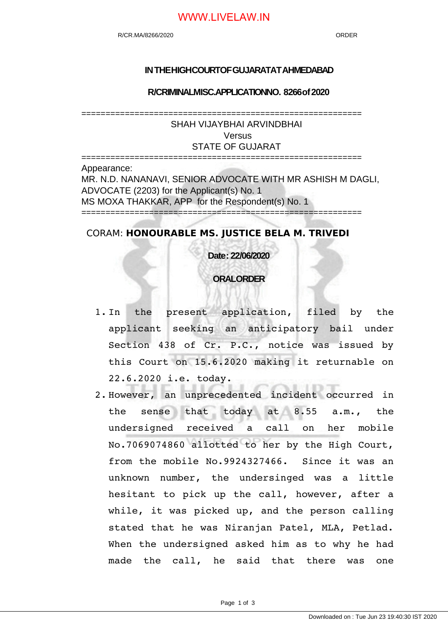# WWW.LIVELAW.IN

## **IN THE HIGH COURTOF GUJARATAT AHMEDABAD**

**R/CRIMINAL MISC.APPLICATION NO. 8266 of 2020**

==========================================================

SHAH VIJAYBHAI ARVINDBHAI Versus STATE OF GUJARAT

========================================================== Appearance: MR. N.D. NANANAVI, SENIOR ADVOCATE WITH MR ASHISH M DAGLI, ADVOCATE (2203) for the Applicant(s) No. 1 MS MOXA THAKKAR, APP for the Respondent(s) No. 1 ==========================================================

## CORAM: **HONOURABLE MS. JUSTICE BELA M. TRIVEDI**

**Date : 22/06/2020**

## **ORAL ORDER**

- 1. In the present application, filed by the applicant seeking an anticipatory bail under Section 438 of Cr. P.C., notice was issued by this Court on 15.6.2020 making it returnable on 22.6.2020 i.e. today.
- 2. However, an unprecedented incident occurred in the sense that today at 8.55 a.m., the undersigned received a call on her mobile No.7069074860 allotted to her by the High Court, from the mobile No.9924327466. Since it was an unknown number, the undersinged was a little hesitant to pick up the call, however, after a while, it was picked up, and the person calling stated that he was Niranjan Patel, MLA, Petlad. When the undersigned asked him as to why he had made the call, he said that there was one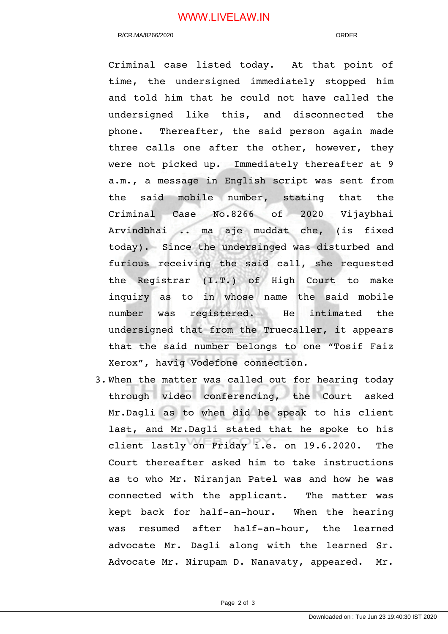# WWW.LIVELAW.IN

#### R/CR.MA/8266/2020 ORDER

Criminal case listed today. At that point of time, the undersigned immediately stopped him and told him that he could not have called the undersigned like this, and disconnected the phone. Thereafter, the said person again made three calls one after the other, however, they were not picked up. Immediately thereafter at 9 a.m., a message in English script was sent from the said mobile number, stating that the Criminal Case No.8266 of 2020 Vijaybhai Arvindbhai .. ma aje muddat che, (is fixed today). Since the undersinged was disturbed and furious receiving the said call, she requested the Registrar (I.T.) of High Court to make inquiry as to in whose name the said mobile number was registered. He intimated the undersigned that from the Truecaller, it appears that the said number belongs to one "Tosif Faiz Xerox", havig Vodefone connection.

3. When the matter was called out for hearing today through video conferencing, the Court asked Mr.Dagli as to when did he speak to his client last, and Mr.Dagli stated that he spoke to his client lastly on Friday i.e. on 19.6.2020. The Court thereafter asked him to take instructions as to who Mr. Niranjan Patel was and how he was connected with the applicant. The matter was kept back for half-an-hour. When the hearing was resumed after half-an-hour, the learned advocate Mr. Dagli along with the learned Sr. Advocate Mr. Nirupam D. Nanavaty, appeared. Mr.